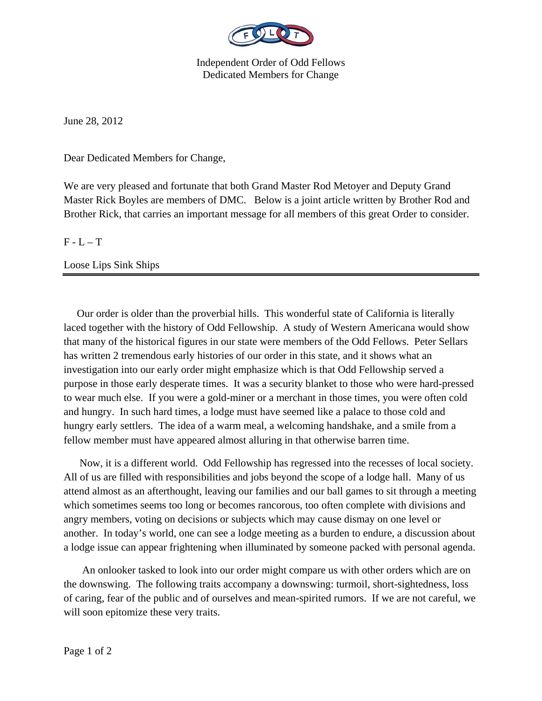

Independent Order of Odd Fellows Dedicated Members for Change

June 28, 2012

Dear Dedicated Members for Change,

We are very pleased and fortunate that both Grand Master Rod Metoyer and Deputy Grand Master Rick Boyles are members of DMC. Below is a joint article written by Brother Rod and Brother Rick, that carries an important message for all members of this great Order to consider.

 $F - L - T$ 

Loose Lips Sink Ships

 Our order is older than the proverbial hills. This wonderful state of California is literally laced together with the history of Odd Fellowship. A study of Western Americana would show that many of the historical figures in our state were members of the Odd Fellows. Peter Sellars has written 2 tremendous early histories of our order in this state, and it shows what an investigation into our early order might emphasize which is that Odd Fellowship served a purpose in those early desperate times. It was a security blanket to those who were hard-pressed to wear much else. If you were a gold-miner or a merchant in those times, you were often cold and hungry. In such hard times, a lodge must have seemed like a palace to those cold and hungry early settlers. The idea of a warm meal, a welcoming handshake, and a smile from a fellow member must have appeared almost alluring in that otherwise barren time.

 Now, it is a different world. Odd Fellowship has regressed into the recesses of local society. All of us are filled with responsibilities and jobs beyond the scope of a lodge hall. Many of us attend almost as an afterthought, leaving our families and our ball games to sit through a meeting which sometimes seems too long or becomes rancorous, too often complete with divisions and angry members, voting on decisions or subjects which may cause dismay on one level or another. In today's world, one can see a lodge meeting as a burden to endure, a discussion about a lodge issue can appear frightening when illuminated by someone packed with personal agenda.

 An onlooker tasked to look into our order might compare us with other orders which are on the downswing. The following traits accompany a downswing: turmoil, short-sightedness, loss of caring, fear of the public and of ourselves and mean-spirited rumors. If we are not careful, we will soon epitomize these very traits.